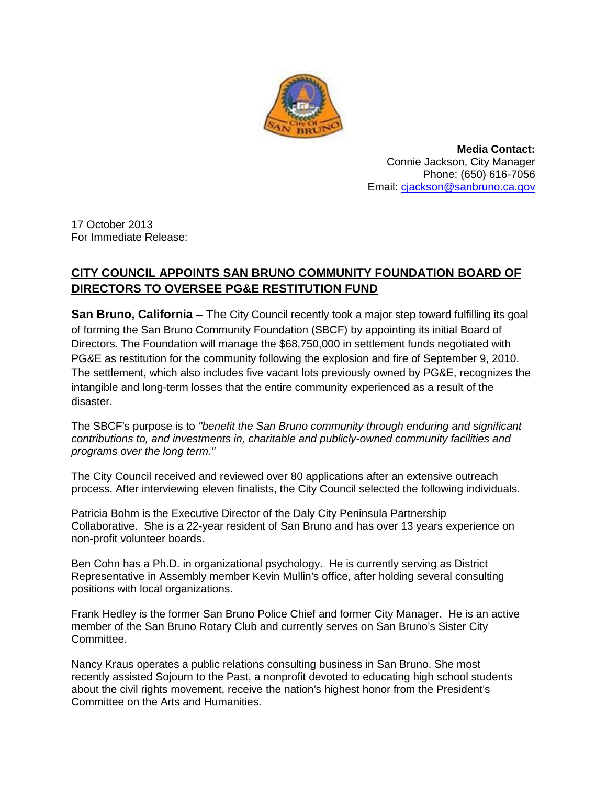

**Media Contact:** Connie Jackson, City Manager Phone: (650) 616-7056 Email: cjackson@sanbruno.ca.gov

17 October 2013 For Immediate Release:

## **CITY COUNCIL APPOINTS SAN BRUNO COMMUNITY FOUNDATION BOARD OF DIRECTORS TO OVERSEE PG&E RESTITUTION FUND**

**San Bruno, California** – The City Council recently took a major step toward fulfilling its goal of forming the San Bruno Community Foundation (SBCF) by appointing its initial Board of Directors. The Foundation will manage the \$68,750,000 in settlement funds negotiated with PG&E as restitution for the community following the explosion and fire of September 9, 2010. The settlement, which also includes five vacant lots previously owned by PG&E, recognizes the intangible and long-term losses that the entire community experienced as a result of the disaster.

The SBCF's purpose is to *"benefit the San Bruno community through enduring and significant contributions to, and investments in, charitable and publicly-owned community facilities and programs over the long term."*

The City Council received and reviewed over 80 applications after an extensive outreach process. After interviewing eleven finalists, the City Council selected the following individuals.

Patricia Bohm is the Executive Director of the Daly City Peninsula Partnership Collaborative. She is a 22-year resident of San Bruno and has over 13 years experience on non-profit volunteer boards.

Ben Cohn has a Ph.D. in organizational psychology. He is currently serving as District Representative in Assembly member Kevin Mullin's office, after holding several consulting positions with local organizations.

Frank Hedley is the former San Bruno Police Chief and former City Manager. He is an active member of the San Bruno Rotary Club and currently serves on San Bruno's Sister City Committee.

Nancy Kraus operates a public relations consulting business in San Bruno. She most recently assisted Sojourn to the Past, a nonprofit devoted to educating high school students about the civil rights movement, receive the nation's highest honor from the President's Committee on the Arts and Humanities.